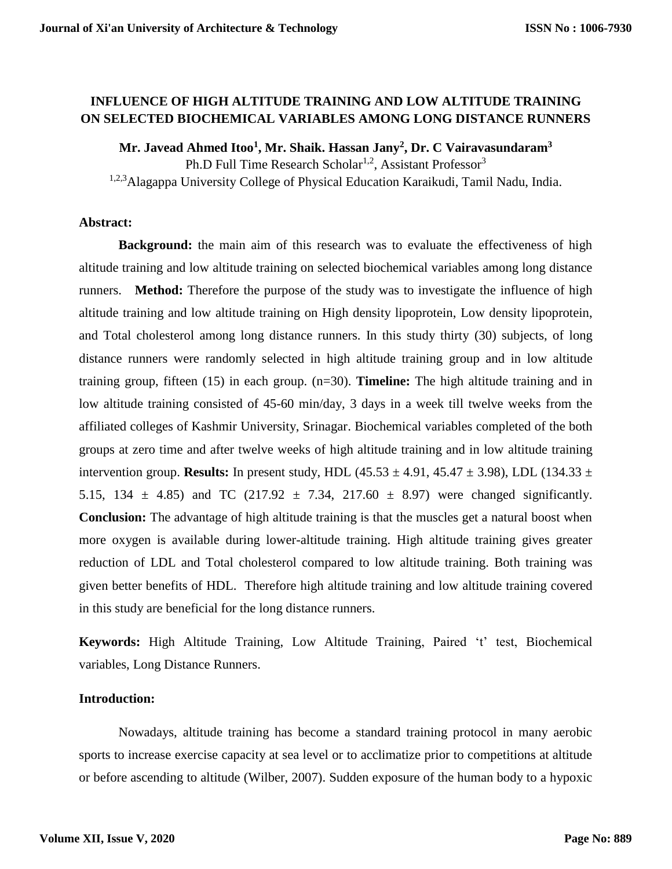# **INFLUENCE OF HIGH ALTITUDE TRAINING AND LOW ALTITUDE TRAINING ON SELECTED BIOCHEMICAL VARIABLES AMONG LONG DISTANCE RUNNERS**

**Mr. Javead Ahmed Itoo<sup>1</sup> , Mr. Shaik. Hassan Jany<sup>2</sup> , Dr. C Vairavasundaram<sup>3</sup>** Ph.D Full Time Research Scholar<sup>1,2</sup>, Assistant Professor<sup>3</sup>

1,2,3Alagappa University College of Physical Education Karaikudi, Tamil Nadu, India.

### **Abstract:**

**Background:** the main aim of this research was to evaluate the effectiveness of high altitude training and low altitude training on selected biochemical variables among long distance runners. **Method:** Therefore the purpose of the study was to investigate the influence of high altitude training and low altitude training on High density lipoprotein, Low density lipoprotein, and Total cholesterol among long distance runners. In this study thirty (30) subjects, of long distance runners were randomly selected in high altitude training group and in low altitude training group, fifteen (15) in each group. (n=30). **Timeline:** The high altitude training and in low altitude training consisted of 45-60 min/day, 3 days in a week till twelve weeks from the affiliated colleges of Kashmir University, Srinagar. Biochemical variables completed of the both groups at zero time and after twelve weeks of high altitude training and in low altitude training intervention group. **Results:** In present study, HDL (45.53  $\pm$  4.91, 45.47  $\pm$  3.98), LDL (134.33  $\pm$ 5.15, 134  $\pm$  4.85) and TC (217.92  $\pm$  7.34, 217.60  $\pm$  8.97) were changed significantly. **Conclusion:** The advantage of high altitude training is that the muscles get a natural boost when more oxygen is available during lower-altitude training. High altitude training gives greater reduction of LDL and Total cholesterol compared to low altitude training. Both training was given better benefits of HDL. Therefore high altitude training and low altitude training covered in this study are beneficial for the long distance runners.

**Keywords:** High Altitude Training, Low Altitude Training, Paired 't' test, Biochemical variables, Long Distance Runners.

# **Introduction:**

Nowadays, altitude training has become a standard training protocol in many aerobic sports to increase exercise capacity at sea level or to acclimatize prior to competitions at altitude or before ascending to altitude [\(Wilber, 2007\)](https://www.frontiersin.org/articles/10.3389/fphys.2018.00375/full#B115). Sudden exposure of the human body to a hypoxic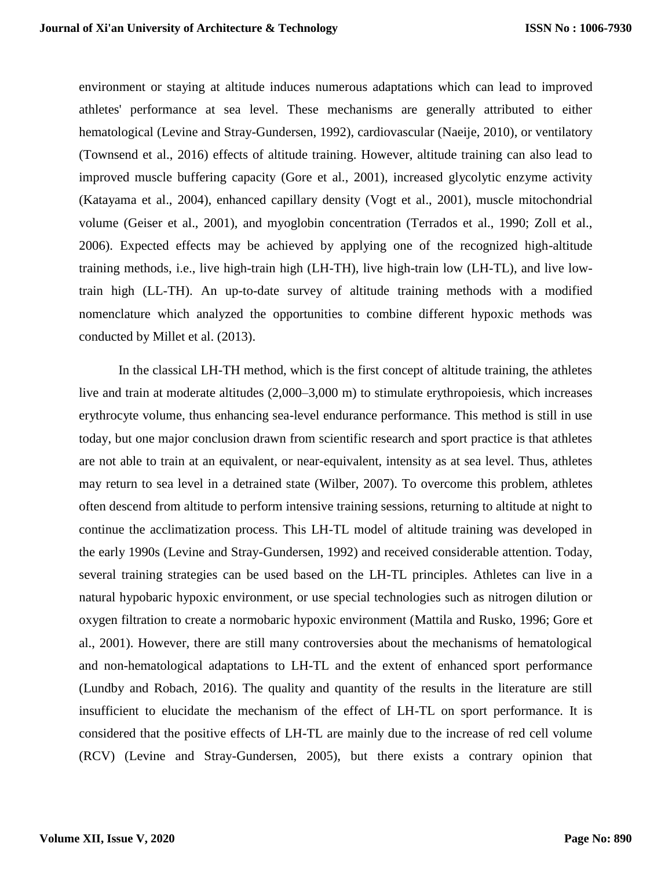environment or staying at altitude induces numerous adaptations which can lead to improved athletes' performance at sea level. These mechanisms are generally attributed to either hematological [\(Levine and Stray-Gundersen, 1992\)](https://www.frontiersin.org/articles/10.3389/fphys.2018.00375/full#B60), cardiovascular [\(Naeije, 2010\)](https://www.frontiersin.org/articles/10.3389/fphys.2018.00375/full#B81), or ventilatory [\(Townsend et al., 2016\)](https://www.frontiersin.org/articles/10.3389/fphys.2018.00375/full#B107) effects of altitude training. However, altitude training can also lead to improved muscle buffering capacity [\(Gore et al., 2001\)](https://www.frontiersin.org/articles/10.3389/fphys.2018.00375/full#B43), increased glycolytic enzyme activity [\(Katayama et al., 2004\)](https://www.frontiersin.org/articles/10.3389/fphys.2018.00375/full#B56), enhanced capillary density [\(Vogt et al., 2001\)](https://www.frontiersin.org/articles/10.3389/fphys.2018.00375/full#B110), muscle mitochondrial volume [\(Geiser et al., 2001\)](https://www.frontiersin.org/articles/10.3389/fphys.2018.00375/full#B38), and myoglobin concentration [\(Terrados et al., 1990;](https://www.frontiersin.org/articles/10.3389/fphys.2018.00375/full#B105) [Zoll et al.,](https://www.frontiersin.org/articles/10.3389/fphys.2018.00375/full#B120)  [2006\)](https://www.frontiersin.org/articles/10.3389/fphys.2018.00375/full#B120). Expected effects may be achieved by applying one of the recognized high-altitude training methods, i.e., live high-train high (LH-TH), live high-train low (LH-TL), and live lowtrain high (LL-TH). An up-to-date survey of altitude training methods with a modified nomenclature which analyzed the opportunities to combine different hypoxic methods was conducted by [Millet et al. \(2013\).](https://www.frontiersin.org/articles/10.3389/fphys.2018.00375/full#B73)

In the classical LH-TH method, which is the first concept of altitude training, the athletes live and train at moderate altitudes (2,000–3,000 m) to stimulate erythropoiesis, which increases erythrocyte volume, thus enhancing sea-level endurance performance. This method is still in use today, but one major conclusion drawn from scientific research and sport practice is that athletes are not able to train at an equivalent, or near-equivalent, intensity as at sea level. Thus, athletes may return to sea level in a detrained state [\(Wilber, 2007\)](https://www.frontiersin.org/articles/10.3389/fphys.2018.00375/full#B115). To overcome this problem, athletes often descend from altitude to perform intensive training sessions, returning to altitude at night to continue the acclimatization process. This LH-TL model of altitude training was developed in the early 1990s [\(Levine and Stray-Gundersen, 1992\)](https://www.frontiersin.org/articles/10.3389/fphys.2018.00375/full#B60) and received considerable attention. Today, several training strategies can be used based on the LH-TL principles. Athletes can live in a natural hypobaric hypoxic environment, or use special technologies such as nitrogen dilution or oxygen filtration to create a normobaric hypoxic environment [\(Mattila and Rusko, 1996;](https://www.frontiersin.org/articles/10.3389/fphys.2018.00375/full#B70) [Gore et](https://www.frontiersin.org/articles/10.3389/fphys.2018.00375/full#B43)  [al., 2001\)](https://www.frontiersin.org/articles/10.3389/fphys.2018.00375/full#B43). However, there are still many controversies about the mechanisms of hematological and non-hematological adaptations to LH-TL and the extent of enhanced sport performance [\(Lundby and Robach, 2016\)](https://www.frontiersin.org/articles/10.3389/fphys.2018.00375/full#B66). The quality and quantity of the results in the literature are still insufficient to elucidate the mechanism of the effect of LH-TL on sport performance. It is considered that the positive effects of LH-TL are mainly due to the increase of red cell volume (RCV) [\(Levine and Stray-Gundersen, 2005\)](https://www.frontiersin.org/articles/10.3389/fphys.2018.00375/full#B61), but there exists a contrary opinion that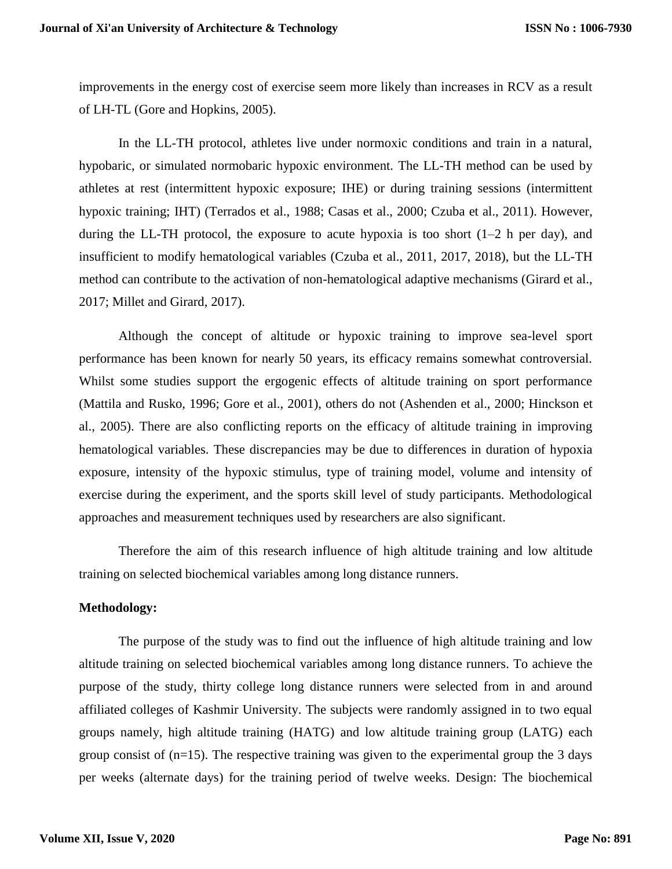improvements in the energy cost of exercise seem more likely than increases in RCV as a result of LH-TL [\(Gore and Hopkins, 2005\)](https://www.frontiersin.org/articles/10.3389/fphys.2018.00375/full#B44).

In the LL-TH protocol, athletes live under normoxic conditions and train in a natural, hypobaric, or simulated normobaric hypoxic environment. The LL-TH method can be used by athletes at rest (intermittent hypoxic exposure; IHE) or during training sessions (intermittent hypoxic training; IHT) [\(Terrados et al., 1988;](https://www.frontiersin.org/articles/10.3389/fphys.2018.00375/full#B106) [Casas et al., 2000;](https://www.frontiersin.org/articles/10.3389/fphys.2018.00375/full#B11) [Czuba et al., 2011\)](https://www.frontiersin.org/articles/10.3389/fphys.2018.00375/full#B21). However, during the LL-TH protocol, the exposure to acute hypoxia is too short  $(1-2 h)$  per day), and insufficient to modify hematological variables [\(Czuba et al., 2011,](https://www.frontiersin.org/articles/10.3389/fphys.2018.00375/full#B21) [2017,](https://www.frontiersin.org/articles/10.3389/fphys.2018.00375/full#B22) [2018\)](https://www.frontiersin.org/articles/10.3389/fphys.2018.00375/full#B19), but the LL-TH method can contribute to the activation of non-hematological adaptive mechanisms [\(Girard et al.,](https://www.frontiersin.org/articles/10.3389/fphys.2018.00375/full#B39)  [2017;](https://www.frontiersin.org/articles/10.3389/fphys.2018.00375/full#B39) [Millet and Girard, 2017\)](https://www.frontiersin.org/articles/10.3389/fphys.2018.00375/full#B75).

Although the concept of altitude or hypoxic training to improve sea-level sport performance has been known for nearly 50 years, its efficacy remains somewhat controversial. Whilst some studies support the ergogenic effects of altitude training on sport performance [\(Mattila and Rusko, 1996;](https://www.frontiersin.org/articles/10.3389/fphys.2018.00375/full#B70) [Gore et al., 2001\)](https://www.frontiersin.org/articles/10.3389/fphys.2018.00375/full#B43), others do not (Ashenden [et al., 2000;](https://www.frontiersin.org/articles/10.3389/fphys.2018.00375/full#B3) [Hinckson et](https://www.frontiersin.org/articles/10.3389/fphys.2018.00375/full#B52)  [al., 2005\)](https://www.frontiersin.org/articles/10.3389/fphys.2018.00375/full#B52). There are also conflicting reports on the efficacy of altitude training in improving hematological variables. These discrepancies may be due to differences in duration of hypoxia exposure, intensity of the hypoxic stimulus, type of training model, volume and intensity of exercise during the experiment, and the sports skill level of study participants. Methodological approaches and measurement techniques used by researchers are also significant.

Therefore the aim of this research influence of high altitude training and low altitude training on selected biochemical variables among long distance runners.

#### **Methodology:**

The purpose of the study was to find out the influence of high altitude training and low altitude training on selected biochemical variables among long distance runners. To achieve the purpose of the study, thirty college long distance runners were selected from in and around affiliated colleges of Kashmir University. The subjects were randomly assigned in to two equal groups namely, high altitude training (HATG) and low altitude training group (LATG) each group consist of  $(n=15)$ . The respective training was given to the experimental group the 3 days per weeks (alternate days) for the training period of twelve weeks. Design: The biochemical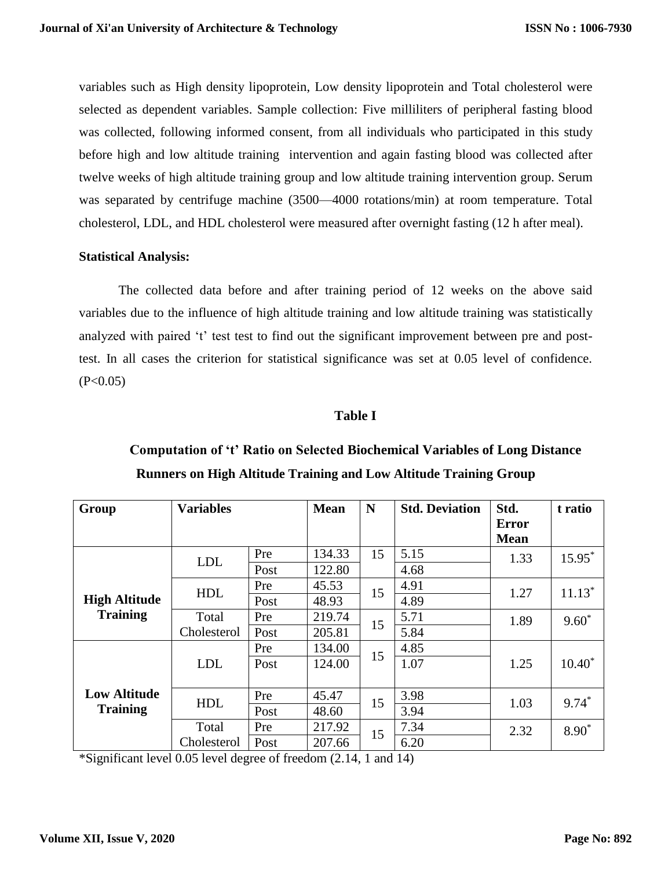variables such as High density lipoprotein, Low density lipoprotein and Total cholesterol were selected as dependent variables. Sample collection: Five milliliters of peripheral fasting blood was collected, following informed consent, from all individuals who participated in this study before high and low altitude training intervention and again fasting blood was collected after twelve weeks of high altitude training group and low altitude training intervention group. Serum was separated by centrifuge machine (3500—4000 rotations/min) at room temperature. Total cholesterol, LDL, and HDL cholesterol were measured after overnight fasting (12 h after meal).

# **Statistical Analysis:**

The collected data before and after training period of 12 weeks on the above said variables due to the influence of high altitude training and low altitude training was statistically analyzed with paired 't' test test to find out the significant improvement between pre and posttest. In all cases the criterion for statistical significance was set at 0.05 level of confidence.  $(P<0.05)$ 

# **Table I**

| Group                                   | <b>Variables</b> |      | <b>Mean</b> | N  | <b>Std. Deviation</b> | Std.         | t ratio   |
|-----------------------------------------|------------------|------|-------------|----|-----------------------|--------------|-----------|
|                                         |                  |      |             |    |                       | <b>Error</b> |           |
|                                         |                  |      |             |    |                       | <b>Mean</b>  |           |
| <b>High Altitude</b><br><b>Training</b> | <b>LDL</b>       | Pre  | 134.33      | 15 | 5.15                  | 1.33         | $15.95*$  |
|                                         |                  | Post | 122.80      |    | 4.68                  |              |           |
|                                         | <b>HDL</b>       | Pre  | 45.53       | 15 | 4.91                  | 1.27         | $11.13*$  |
|                                         |                  | Post | 48.93       |    | 4.89                  |              |           |
|                                         | Total            | Pre  | 219.74      | 15 | 5.71                  | 1.89         | $9.60*$   |
|                                         | Cholesterol      | Post | 205.81      |    | 5.84                  |              |           |
|                                         | <b>LDL</b>       | Pre  | 134.00      | 15 | 4.85                  | 1.25         |           |
|                                         |                  | Post | 124.00      |    | 1.07                  |              | $10.40^*$ |
|                                         |                  |      |             |    |                       |              |           |
| <b>Low Altitude</b>                     | <b>HDL</b>       | Pre  | 45.47       | 15 | 3.98                  | 1.03         | $9.74*$   |
| <b>Training</b>                         |                  | Post | 48.60       |    | 3.94                  |              |           |
|                                         | Total            | Pre  | 217.92      | 15 | 7.34                  | 2.32         | $8.90*$   |
|                                         | Cholesterol      | Post | 207.66      |    | 6.20                  |              |           |

# **Computation of 't' Ratio on Selected Biochemical Variables of Long Distance Runners on High Altitude Training and Low Altitude Training Group**

\*Significant level 0.05 level degree of freedom (2.14, 1 and 14)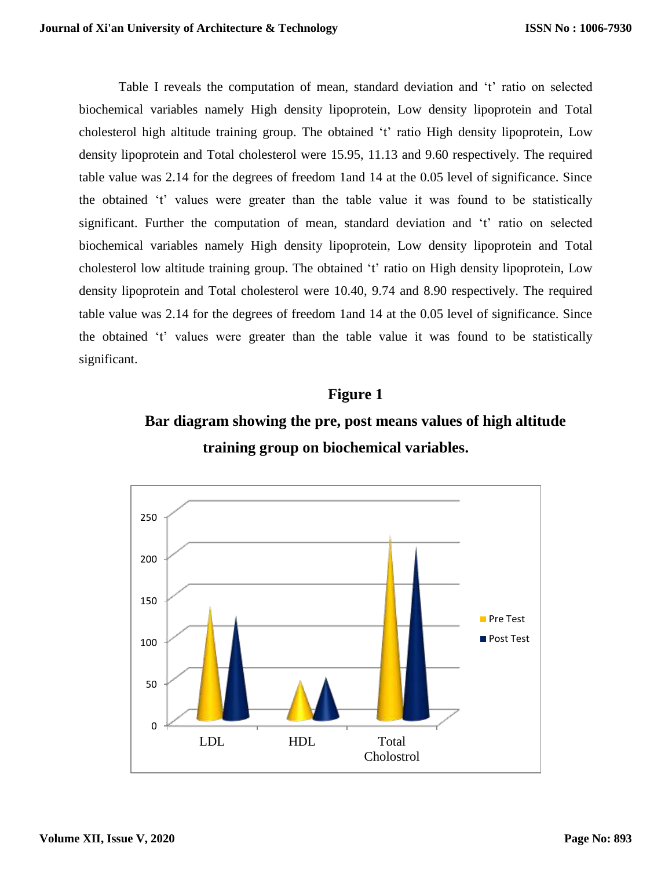Table I reveals the computation of mean, standard deviation and 't' ratio on selected biochemical variables namely High density lipoprotein, Low density lipoprotein and Total cholesterol high altitude training group. The obtained 't' ratio High density lipoprotein, Low density lipoprotein and Total cholesterol were 15.95, 11.13 and 9.60 respectively. The required table value was 2.14 for the degrees of freedom 1and 14 at the 0.05 level of significance. Since the obtained 't' values were greater than the table value it was found to be statistically significant. Further the computation of mean, standard deviation and 't' ratio on selected biochemical variables namely High density lipoprotein, Low density lipoprotein and Total cholesterol low altitude training group. The obtained 't' ratio on High density lipoprotein, Low density lipoprotein and Total cholesterol were 10.40, 9.74 and 8.90 respectively. The required table value was 2.14 for the degrees of freedom 1and 14 at the 0.05 level of significance. Since the obtained 't' values were greater than the table value it was found to be statistically significant.

# **Figure 1**



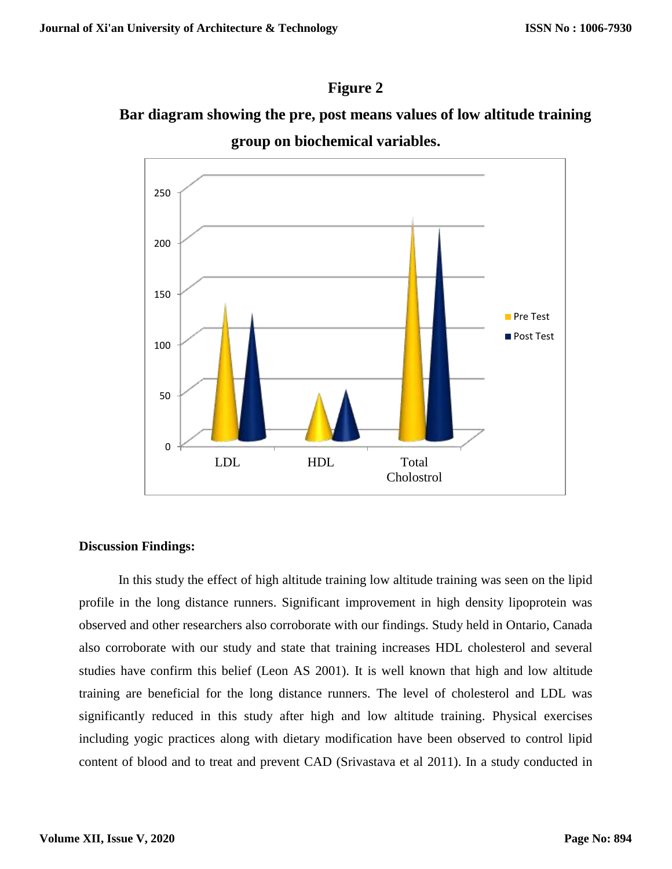# **Figure 2**

# **Bar diagram showing the pre, post means values of low altitude training group on biochemical variables.**



# **Discussion Findings:**

In this study the effect of high altitude training low altitude training was seen on the lipid profile in the long distance runners. Significant improvement in high density lipoprotein was observed and other researchers also corroborate with our findings. Study held in Ontario, Canada also corroborate with our study and state that training increases HDL cholesterol and several studies have confirm this belief (Leon AS 2001). It is well known that high and low altitude training are beneficial for the long distance runners. The level of cholesterol and LDL was significantly reduced in this study after high and low altitude training. Physical exercises including yogic practices along with dietary modification have been observed to control lipid content of blood and to treat and prevent CAD (Srivastava et al 2011). In a study conducted in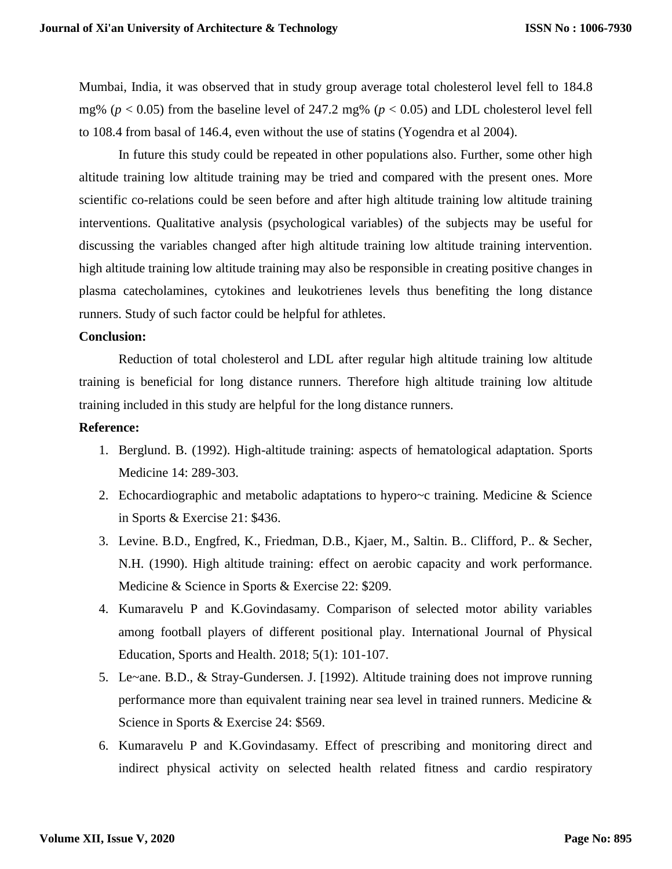Mumbai, India, it was observed that in study group average total cholesterol level fell to 184.8 mg% ( $p < 0.05$ ) from the baseline level of 247.2 mg% ( $p < 0.05$ ) and LDL cholesterol level fell to 108.4 from basal of 146.4, even without the use of statins (Yogendra et al 2004).

In future this study could be repeated in other populations also. Further, some other high altitude training low altitude training may be tried and compared with the present ones. More scientific co-relations could be seen before and after high altitude training low altitude training interventions. Qualitative analysis (psychological variables) of the subjects may be useful for discussing the variables changed after high altitude training low altitude training intervention. high altitude training low altitude training may also be responsible in creating positive changes in plasma catecholamines, cytokines and leukotrienes levels thus benefiting the long distance runners. Study of such factor could be helpful for athletes.

#### **Conclusion:**

Reduction of total cholesterol and LDL after regular high altitude training low altitude training is beneficial for long distance runners. Therefore high altitude training low altitude training included in this study are helpful for the long distance runners.

#### **Reference:**

- 1. Berglund. B. (1992). High-altitude training: aspects of hematological adaptation. Sports Medicine 14: 289-303.
- 2. Echocardiographic and metabolic adaptations to hypero~c training. Medicine & Science in Sports & Exercise 21: \$436.
- 3. Levine. B.D., Engfred, K., Friedman, D.B., Kjaer, M., Saltin. B.. Clifford, P.. & Secher, N.H. (1990). High altitude training: effect on aerobic capacity and work performance. Medicine & Science in Sports & Exercise 22: \$209.
- 4. Kumaravelu P and K.Govindasamy. Comparison of selected motor ability variables among football players of different positional play. International Journal of Physical Education, Sports and Health. 2018; 5(1): 101-107.
- 5. Le~ane. B.D., & Stray-Gundersen. J. [1992). Altitude training does not improve running performance more than equivalent training near sea level in trained runners. Medicine & Science in Sports & Exercise 24: \$569.
- 6. Kumaravelu P and K.Govindasamy. Effect of prescribing and monitoring direct and indirect physical activity on selected health related fitness and cardio respiratory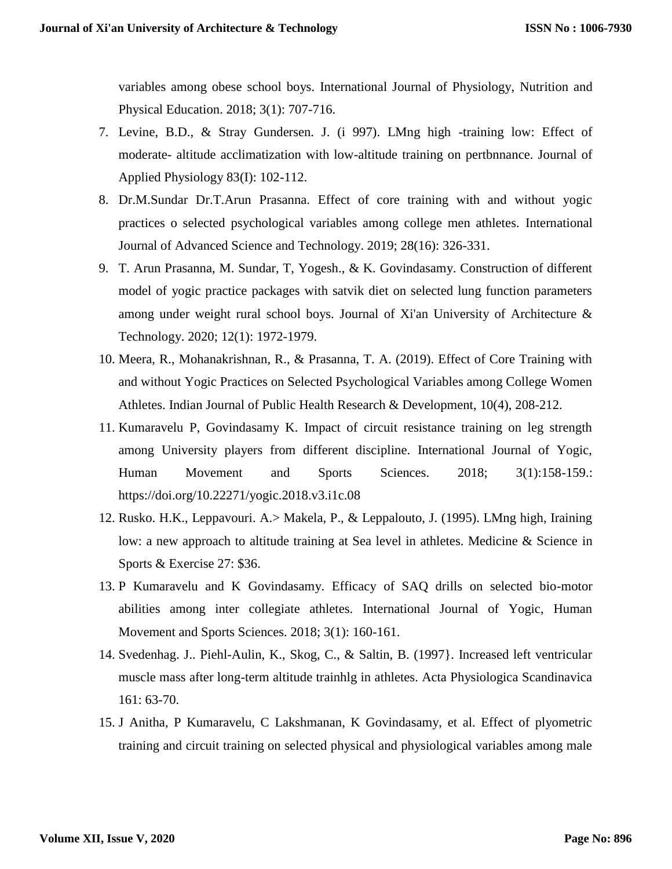variables among obese school boys. International Journal of Physiology, Nutrition and Physical Education. 2018; 3(1): 707-716.

- 7. Levine, B.D., & Stray Gundersen. J. (i 997). LMng high -training low: Effect of moderate- altitude acclimatization with low-altitude training on pertbnnance. Journal of Applied Physiology 83(I): 102-112.
- 8. Dr.M.Sundar Dr.T.Arun Prasanna. Effect of core training with and without yogic practices o selected psychological variables among college men athletes. International Journal of Advanced Science and Technology. 2019; 28(16): 326-331.
- 9. T. Arun Prasanna, M. Sundar, T, Yogesh., & K. Govindasamy. Construction of different model of yogic practice packages with satvik diet on selected lung function parameters among under weight rural school boys. Journal of Xi'an University of Architecture & Technology. 2020; 12(1): 1972-1979.
- 10. Meera, R., Mohanakrishnan, R., & Prasanna, T. A. (2019). Effect of Core Training with and without Yogic Practices on Selected Psychological Variables among College Women Athletes. Indian Journal of Public Health Research & Development, 10(4), 208-212.
- 11. Kumaravelu P, Govindasamy K. Impact of circuit resistance training on leg strength among University players from different discipline. International Journal of Yogic, Human Movement and Sports Sciences. 2018; 3(1):158-159.: <https://doi.org/10.22271/yogic.2018.v3.i1c.08>
- 12. Rusko. H.K., Leppavouri. A.> Makela, P., & Leppalouto, J. (1995). LMng high, Iraining low: a new approach to altitude training at Sea level in athletes. Medicine & Science in Sports & Exercise 27: \$36.
- 13. P Kumaravelu and K Govindasamy. Efficacy of SAQ drills on selected bio-motor abilities among inter collegiate athletes. International Journal of Yogic, Human Movement and Sports Sciences. 2018; 3(1): 160-161.
- 14. Svedenhag. J.. Piehl-Aulin, K., Skog, C., & Saltin, B. (1997}. Increased left ventricular muscle mass after long-term altitude trainhlg in athletes. Acta Physiologica Scandinavica 161: 63-70.
- 15. J Anitha, P Kumaravelu, C Lakshmanan, K Govindasamy, et al. Effect of plyometric training and circuit training on selected physical and physiological variables among male